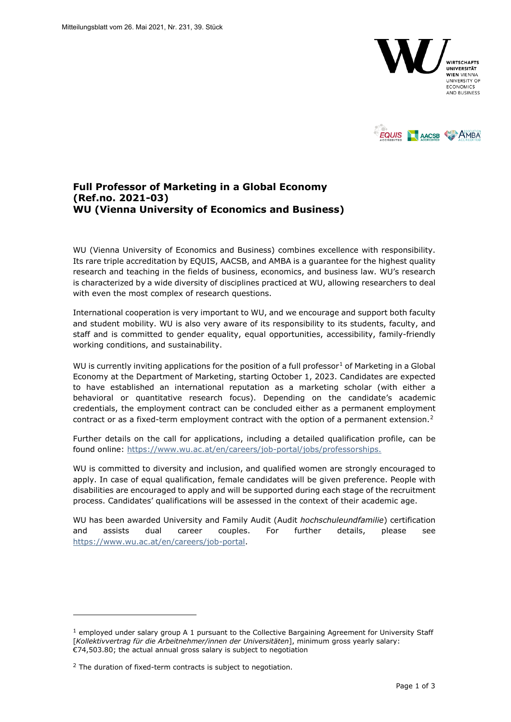



## **Full Professor of Marketing in a Global Economy (Ref.no. 2021-03) WU (Vienna University of Economics and Business)**

WU (Vienna University of Economics and Business) combines excellence with responsibility. Its rare triple accreditation by EQUIS, AACSB, and AMBA is a guarantee for the highest quality research and teaching in the fields of business, economics, and business law. WU's research is characterized by a wide diversity of disciplines practiced at WU, allowing researchers to deal with even the most complex of research questions.

International cooperation is very important to WU, and we encourage and support both faculty and student mobility. WU is also very aware of its responsibility to its students, faculty, and staff and is committed to gender equality, equal opportunities, accessibility, family-friendly working conditions, and sustainability.

WU is currently inviting applications for the position of a full professor<sup>[1](#page-0-0)</sup> of Marketing in a Global Economy at the Department of Marketing, starting October 1, 2023. Candidates are expected to have established an international reputation as a marketing scholar (with either a behavioral or quantitative research focus). Depending on the candidate's academic credentials, the employment contract can be concluded either as a permanent employment contract or as a fixed-term employment contract with the option of a permanent extension.<sup>[2](#page-0-1)</sup>

Further details on the call for applications, including a detailed qualification profile, can be found online: [https://www.wu.ac.at/en/careers/job-portal/jobs/professorships.](https://www.wu.ac.at/en/careers/job-portal/jobs/professorships)

WU is committed to diversity and inclusion, and qualified women are strongly encouraged to apply. In case of equal qualification, female candidates will be given preference. People with disabilities are encouraged to apply and will be supported during each stage of the recruitment process. Candidates' qualifications will be assessed in the context of their academic age.

WU has been awarded University and Family Audit (Audit *hochschuleundfamilie*) certification and assists dual career couples. For further details, please see [https://www.wu.ac.at/en/careers/job-portal.](https://www.wu.ac.at/en/careers/job-portal)

<span id="page-0-0"></span> $<sup>1</sup>$  employed under salary group A 1 pursuant to the Collective Bargaining Agreement for University Staff</sup> [*Kollektivvertrag für die Arbeitnehmer/innen der Universitäten*], minimum gross yearly salary: €74,503.80; the actual annual gross salary is subject to negotiation

<span id="page-0-1"></span><sup>&</sup>lt;sup>2</sup> The duration of fixed-term contracts is subject to negotiation.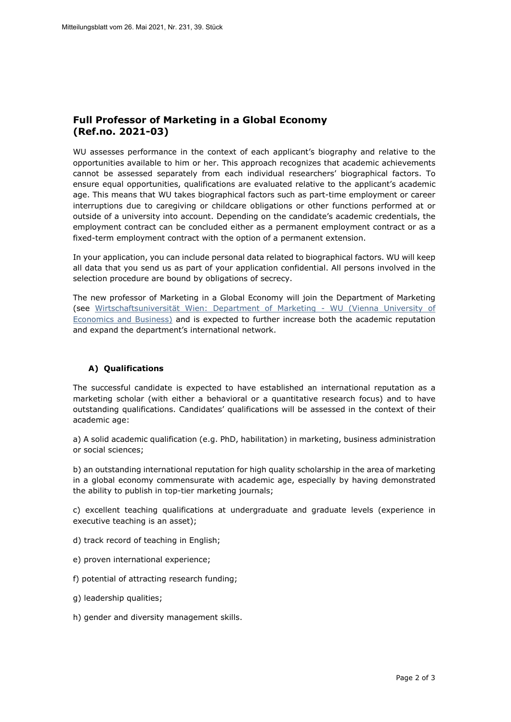# **Full Professor of Marketing in a Global Economy (Ref.no. 2021-03)**

WU assesses performance in the context of each applicant's biography and relative to the opportunities available to him or her. This approach recognizes that academic achievements cannot be assessed separately from each individual researchers' biographical factors. To ensure equal opportunities, qualifications are evaluated relative to the applicant's academic age. This means that WU takes biographical factors such as part-time employment or career interruptions due to caregiving or childcare obligations or other functions performed at or outside of a university into account. Depending on the candidate's academic credentials, the employment contract can be concluded either as a permanent employment contract or as a fixed-term employment contract with the option of a permanent extension.

In your application, you can include personal data related to biographical factors. WU will keep all data that you send us as part of your application confidential. All persons involved in the selection procedure are bound by obligations of secrecy.

The new professor of Marketing in a Global Economy will join the Department of Marketing (see [Wirtschaftsuniversität Wien: Department of Marketing - WU \(Vienna University of](https://www.wu.ac.at/en/marketing)  [Economics and Business\)](https://www.wu.ac.at/en/marketing) and is expected to further increase both the academic reputation and expand the department's international network.

## **A) Qualifications**

The successful candidate is expected to have established an international reputation as a marketing scholar (with either a behavioral or a quantitative research focus) and to have outstanding qualifications. Candidates' qualifications will be assessed in the context of their academic age:

a) A solid academic qualification (e.g. PhD, habilitation) in marketing, business administration or social sciences;

b) an outstanding international reputation for high quality scholarship in the area of marketing in a global economy commensurate with academic age, especially by having demonstrated the ability to publish in top-tier marketing journals;

c) excellent teaching qualifications at undergraduate and graduate levels (experience in executive teaching is an asset);

- d) track record of teaching in English;
- e) proven international experience;
- f) potential of attracting research funding;
- g) leadership qualities;
- h) gender and diversity management skills.